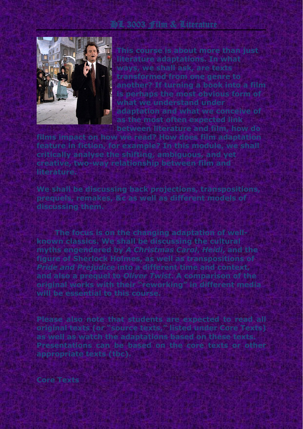# HL 3003 Film & Literature



**This course is about more than just literature adaptations. In what ways, we shall ask, are texts transformed from one genre to another? If turning a book into a film is perhaps the most obvious form of what we understand under adaptation and what we conceive of as the most often expected link between literature and film, how do** 

**films impact on how we read? How does film adaptation feature in fiction, for example? In this module, we shall critically analyse the shifting, ambiguous, and yet creative, two-way relationship between film and literature.**

**We shall be discussing back projections, transpositions, prequels, remakes, &c as well as different models of discussing them.**

**The focus is on the changing adaptation of wellknown classics. We shall be discussing the cultural myths engendered by** *A Christmas Carol***,** *Heidi***, and the figure of Sherlock Holmes, as well as transpositions of**  *Pride and Prejudice* **into a different time and context, and also a prequel to** *Oliver Twist***. A comparison of the original works with their "reworking" in different media will be essential to this course.**

**Please also note that students are expected to read all original texts (or "source texts," listed under Core Texts) as well as watch the adaptations based on these texts. Presentations can be based on the core texts or other appropriate texts (tbc).**

**Core Texts**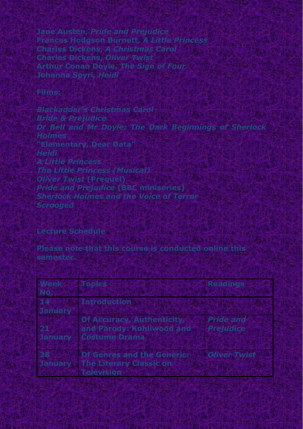**Jane Austen,** *Pride and Prejudice* **Frances Hodgson Burnett,** *A Little Princess* **Charles Dickens,** *A Christmas Carol* **Charles Dickens,** *Oliver Twist* **Arthur Conan Doyle,** *The Sign of Four* **Johanna Spyri***, Heidi*

### **Films:**

*Blackadder's Christmas Carol Bride & Prejudice Dr Bell and Mr Doyle: The Dark Beginnings of Sherlock Holmes* **"Elementary, Dear Data"** *Heidi A Little Princess The Little Princess (Musical) Oliver Twist* **(Prequel)** *Pride and Prejudice* **(BBC miniseries)** *Sherlock Holmes and the Voice of Terror Scrooged*

#### **Lecture Schedule**

**Please note that this course is conducted online this semester.**

| <b>Week</b>    | <b>Topics</b>                     | <b>Readings</b>     |
|----------------|-----------------------------------|---------------------|
| No.            |                                   |                     |
| 14             | <b>Introduction</b>               |                     |
| <b>January</b> |                                   |                     |
|                | <b>Of Accuracy, Authenticity,</b> | <b>Pride and</b>    |
| 21             | and Parody: Kohliwood and         | <b>Prejudice</b>    |
| <b>January</b> | <b>Costume Drama</b>              |                     |
|                |                                   |                     |
| 28             | <b>Of Genres and the Generic:</b> | <b>Oliver Twist</b> |
| <b>January</b> | <b>The Literary Classic on</b>    |                     |
|                | <b>Television</b>                 |                     |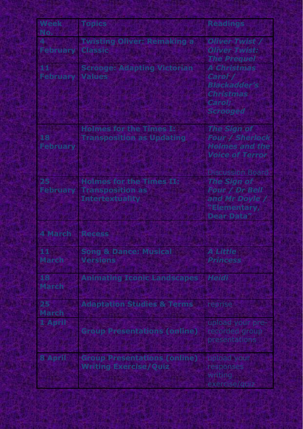| <b>Week</b><br>No.     | <b>Topics</b>                                                                        | <b>Readings</b>                                                                                                            |
|------------------------|--------------------------------------------------------------------------------------|----------------------------------------------------------------------------------------------------------------------------|
| <b>February</b>        | <b>Twisting Oliver: Remaking a</b><br><b>Classic</b>                                 | <b>Oliver Twist</b><br><b>Oliver Twist:</b><br><b>The Prequel</b>                                                          |
| 11<br><b>February</b>  | <b>Scrooge: Adapting Victorian</b><br><b>Values</b>                                  | <b>A Christmas</b><br>Carol /<br><b>Blackadder's</b><br><b>Christmas</b><br>Carol;<br><b>Scrooged</b>                      |
| 18<br><b>February</b>  | <b>Holmes for the Times I:</b><br><b>Transposition as Updating</b>                   | <b>The Sign of</b><br><b>Four / Sherlock</b><br><b>Holmes and the</b><br><b>Voice of Terror</b><br><b>Discussion Board</b> |
| 25<br><b>February</b>  | <b>Holmes for the Times II:</b><br><b>Transposition as</b><br><b>Intertextuality</b> | <b>The Sign of</b><br><b>Four / Dr Bell</b><br>and Mr Doyle /<br>"Elementary,<br><b>Dear Data"</b>                         |
| <b>4 March</b>         | <b>Recess</b>                                                                        |                                                                                                                            |
| $11 -$<br><b>March</b> | <b>Song &amp; Dance: Musical</b><br><b>Versions</b>                                  | <b>A Little</b><br><b>Princess</b>                                                                                         |
| 18<br><b>March</b>     | <b>Animating Iconic Landscapes</b>                                                   | <b>Heidi</b>                                                                                                               |
| 25<br><b>March</b>     | <b>Adaptation Studies &amp; Terms</b>                                                | reprise                                                                                                                    |
| 1 April                | <b>Group Presentations (online)</b>                                                  | upload your pre-<br>recorded group<br>presentations                                                                        |
| <b>8 April</b>         | <b>Group Presentations (online)</b><br><b>Writing Exercise/Quiz</b>                  | upload your<br>responses<br>writing<br>exercise/quiz                                                                       |